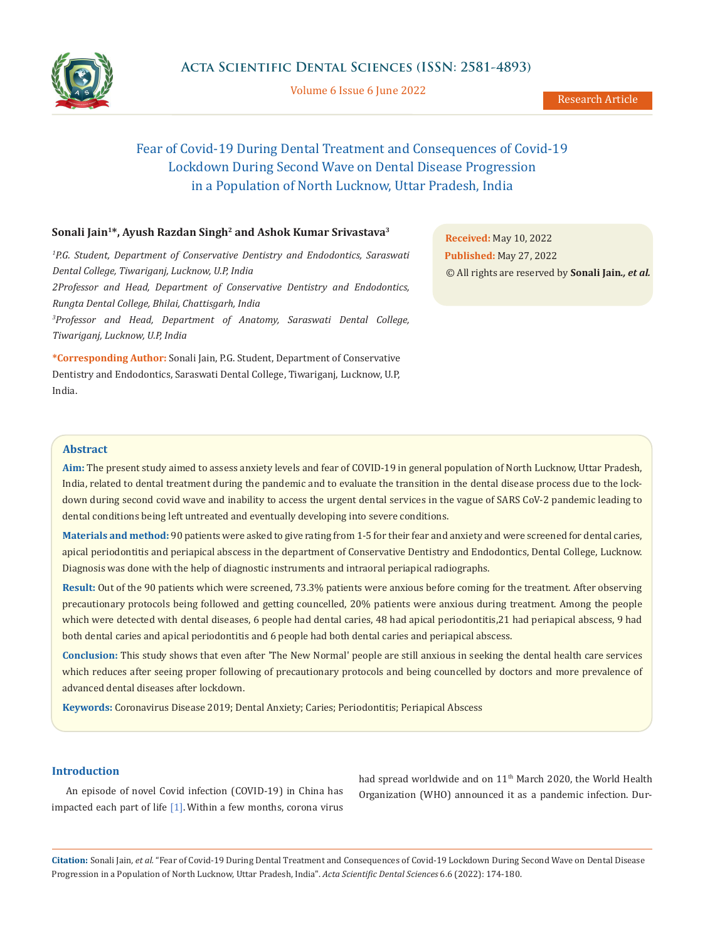

Volume 6 Issue 6 June 2022

# Fear of Covid-19 During Dental Treatment and Consequences of Covid-19 Lockdown During Second Wave on Dental Disease Progression in a Population of North Lucknow, Uttar Pradesh, India

# Sonali Jain<sup>1\*</sup>, Ayush Razdan Singh<sup>2</sup> and Ashok Kumar Srivastava<sup>3</sup>

<sup>1</sup>P.G. Student, Department of Conservative Dentistry and Endodontics, Saraswati *Dental College, Tiwariganj, Lucknow, U.P, India 2Professor and Head, Department of Conservative Dentistry and Endodontics, Rungta Dental College, Bhilai, Chattisgarh, India 3 Professor and Head, Department of Anatomy, Saraswati Dental College, Tiwariganj, Lucknow, U.P, India*

**\*Corresponding Author:** Sonali Jain, P.G. Student, Department of Conservative Dentistry and Endodontics, Saraswati Dental College, Tiwariganj, Lucknow, U.P, India.

**Received:** May 10, 2022 **Published:** May 27, 2022 © All rights are reserved by **Sonali Jain***., et al.*

## **Abstract**

**Aim:** The present study aimed to assess anxiety levels and fear of COVID-19 in general population of North Lucknow, Uttar Pradesh, India, related to dental treatment during the pandemic and to evaluate the transition in the dental disease process due to the lockdown during second covid wave and inability to access the urgent dental services in the vague of SARS CoV-2 pandemic leading to dental conditions being left untreated and eventually developing into severe conditions.

**Materials and method:** 90 patients were asked to give rating from 1-5 for their fear and anxiety and were screened for dental caries, apical periodontitis and periapical abscess in the department of Conservative Dentistry and Endodontics, Dental College, Lucknow. Diagnosis was done with the help of diagnostic instruments and intraoral periapical radiographs.

**Result:** Out of the 90 patients which were screened, 73.3% patients were anxious before coming for the treatment. After observing precautionary protocols being followed and getting councelled, 20% patients were anxious during treatment. Among the people which were detected with dental diseases, 6 people had dental caries, 48 had apical periodontitis,21 had periapical abscess, 9 had both dental caries and apical periodontitis and 6 people had both dental caries and periapical abscess.

**Conclusion:** This study shows that even after 'The New Normal' people are still anxious in seeking the dental health care services which reduces after seeing proper following of precautionary protocols and being councelled by doctors and more prevalence of advanced dental diseases after lockdown.

**Keywords:** Coronavirus Disease 2019; Dental Anxiety; Caries; Periodontitis; Periapical Abscess

#### **Introduction**

An episode of novel Covid infection (COVID-19) in China has impacted each part of life [1]. Within a few months, corona virus had spread worldwide and on 11<sup>th</sup> March 2020, the World Health Organization (WHO) announced it as a pandemic infection. Dur-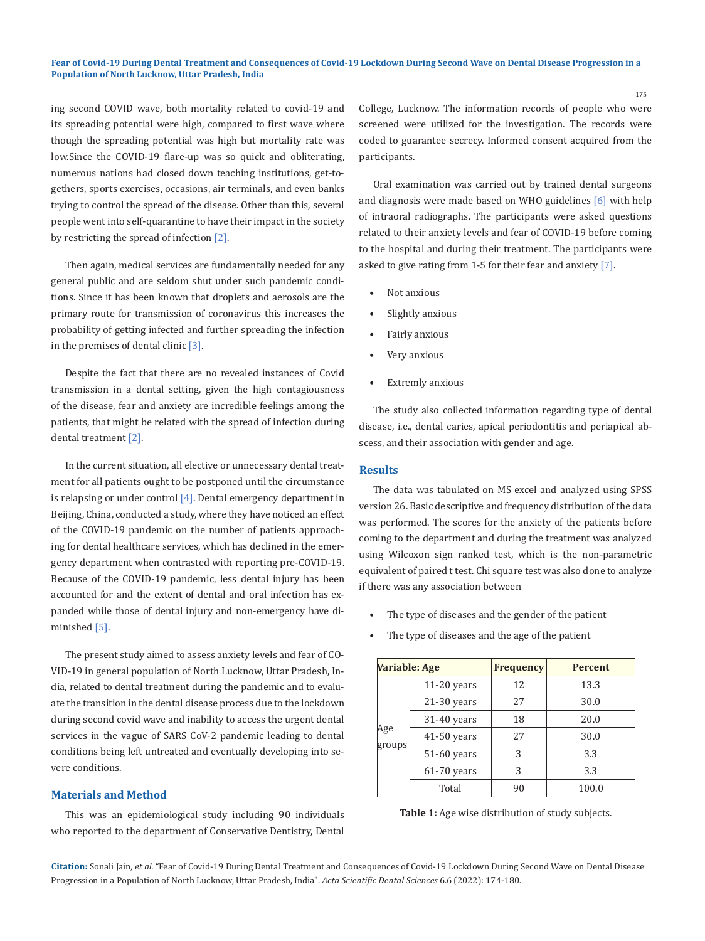ing second COVID wave, both mortality related to covid-19 and its spreading potential were high, compared to first wave where though the spreading potential was high but mortality rate was low.Since the COVID-19 flare-up was so quick and obliterating, numerous nations had closed down teaching institutions, get-togethers, sports exercises, occasions, air terminals, and even banks trying to control the spread of the disease. Other than this, several people went into self-quarantine to have their impact in the society by restricting the spread of infection [2].

Then again, medical services are fundamentally needed for any general public and are seldom shut under such pandemic conditions. Since it has been known that droplets and aerosols are the primary route for transmission of coronavirus this increases the probability of getting infected and further spreading the infection in the premises of dental clinic [3].

Despite the fact that there are no revealed instances of Covid transmission in a dental setting, given the high contagiousness of the disease, fear and anxiety are incredible feelings among the patients, that might be related with the spread of infection during dental treatment [2].

In the current situation, all elective or unnecessary dental treatment for all patients ought to be postponed until the circumstance is relapsing or under control  $[4]$ . Dental emergency department in Beijing, China, conducted a study, where they have noticed an effect of the COVID-19 pandemic on the number of patients approaching for dental healthcare services, which has declined in the emergency department when contrasted with reporting pre-COVID-19. Because of the COVID-19 pandemic, less dental injury has been accounted for and the extent of dental and oral infection has expanded while those of dental injury and non-emergency have diminished [5].

The present study aimed to assess anxiety levels and fear of CO-VID-19 in general population of North Lucknow, Uttar Pradesh, India, related to dental treatment during the pandemic and to evaluate the transition in the dental disease process due to the lockdown during second covid wave and inability to access the urgent dental services in the vague of SARS CoV-2 pandemic leading to dental conditions being left untreated and eventually developing into severe conditions.

### **Materials and Method**

This was an epidemiological study including 90 individuals who reported to the department of Conservative Dentistry, Dental College, Lucknow. The information records of people who were screened were utilized for the investigation. The records were coded to guarantee secrecy. Informed consent acquired from the participants.

Oral examination was carried out by trained dental surgeons and diagnosis were made based on WHO guidelines [6] with help of intraoral radiographs. The participants were asked questions related to their anxiety levels and fear of COVID-19 before coming to the hospital and during their treatment. The participants were asked to give rating from 1-5 for their fear and anxiety [7].

- Not anxious
- Slightly anxious
- Fairly anxious
- Very anxious
- Extremly anxious

The study also collected information regarding type of dental disease, i.e., dental caries, apical periodontitis and periapical abscess, and their association with gender and age.

#### **Results**

The data was tabulated on MS excel and analyzed using SPSS version 26. Basic descriptive and frequency distribution of the data was performed. The scores for the anxiety of the patients before coming to the department and during the treatment was analyzed using Wilcoxon sign ranked test, which is the non-parametric equivalent of paired t test. Chi square test was also done to analyze if there was any association between

- The type of diseases and the gender of the patient
- **Variable: Age Frequency Percent** Age groups 11-20 years 12 13.3 21-30 years 27 30.0 31-40 years 18 20.0 41-50 years 27 30.0 51-60 years 3 3 3.3 61-70 years 3 3 3.3 Total 90 100.0

|  | The type of diseases and the age of the patient |  |  |
|--|-------------------------------------------------|--|--|
|  |                                                 |  |  |

| <b>Table 1:</b> Age wise distribution of study subjects. |  |
|----------------------------------------------------------|--|
|----------------------------------------------------------|--|

**Citation:** Sonali Jain*, et al.* "Fear of Covid-19 During Dental Treatment and Consequences of Covid-19 Lockdown During Second Wave on Dental Disease Progression in a Population of North Lucknow, Uttar Pradesh, India". *Acta Scientific Dental Sciences* 6.6 (2022): 174-180.

175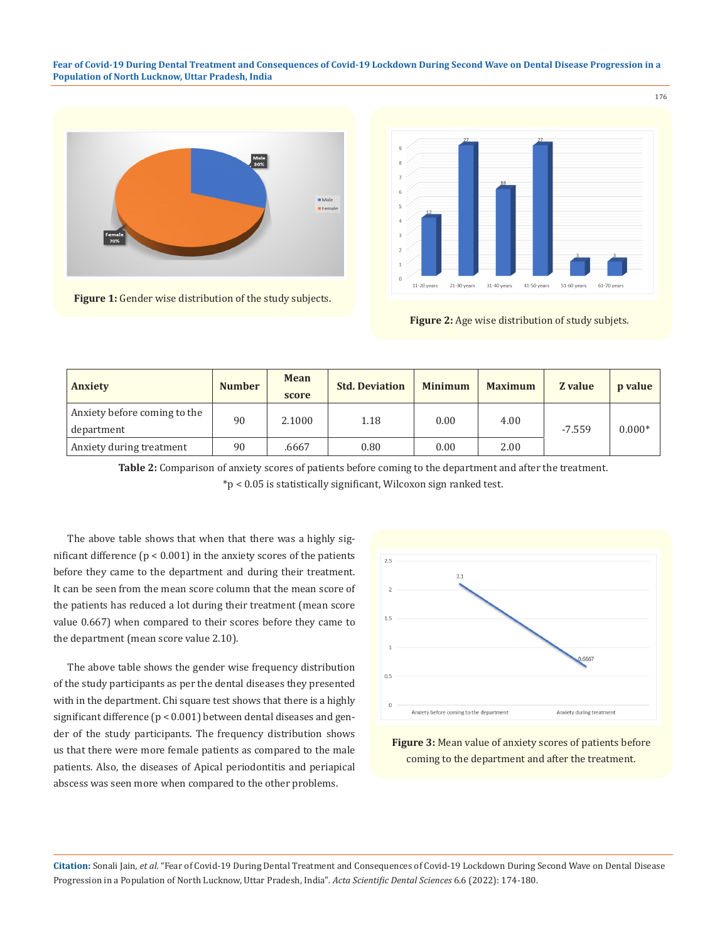**Fear of Covid-19 During Dental Treatment and Consequences of Covid-19 Lockdown During Second Wave on Dental Disease Progression in a Population of North Lucknow, Uttar Pradesh, India**



**Figure 1:** Gender wise distribution of the study subjects.



**Figure 2:** Age wise distribution of study subjets.

| <b>Anxiety</b>                               | <b>Number</b> | <b>Mean</b><br>score | <b>Std. Deviation</b> | <b>Minimum</b> | <b>Maximum</b> | Z value  | $\boldsymbol{p}$ value |  |
|----------------------------------------------|---------------|----------------------|-----------------------|----------------|----------------|----------|------------------------|--|
| Anxiety before coming to the                 |               | 90                   | 2.1000                | 1.18           | 0.00           | 4.00     |                        |  |
| department<br>90<br>Anxiety during treatment |               |                      |                       |                | $-7.559$       | $0.000*$ |                        |  |
|                                              |               | .6667                | 0.80                  | 0.00           | 2.00           |          |                        |  |

**Table 2:** Comparison of anxiety scores of patients before coming to the department and after the treatment. \*p < 0.05 is statistically significant, Wilcoxon sign ranked test.

The above table shows that when that there was a highly significant difference ( $p < 0.001$ ) in the anxiety scores of the patients before they came to the department and during their treatment. It can be seen from the mean score column that the mean score of the patients has reduced a lot during their treatment (mean score value 0.667) when compared to their scores before they came to the department (mean score value 2.10).

The above table shows the gender wise frequency distribution of the study participants as per the dental diseases they presented with in the department. Chi square test shows that there is a highly significant difference (p < 0.001) between dental diseases and gender of the study participants. The frequency distribution shows us that there were more female patients as compared to the male patients. Also, the diseases of Apical periodontitis and periapical abscess was seen more when compared to the other problems.



**Figure 3:** Mean value of anxiety scores of patients before coming to the department and after the treatment.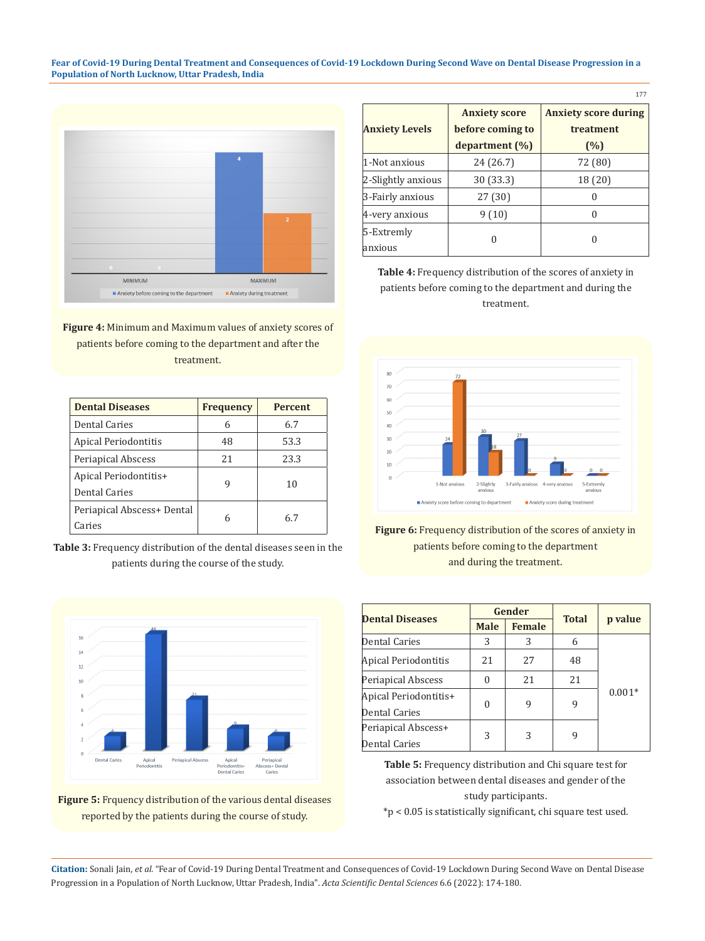**Fear of Covid-19 During Dental Treatment and Consequences of Covid-19 Lockdown During Second Wave on Dental Disease Progression in a Population of North Lucknow, Uttar Pradesh, India**



**Figure 4:** Minimum and Maximum values of anxiety scores of patients before coming to the department and after the treatment.

| <b>Dental Diseases</b>     | <b>Frequency</b> | <b>Percent</b> |
|----------------------------|------------------|----------------|
| Dental Caries              | 6                | 6.7            |
| Apical Periodontitis       | 48               | 53.3           |
| Periapical Abscess         | 21               | 23.3           |
| Apical Periodontitis+      |                  | 10             |
| Dental Caries              |                  |                |
| Periapical Abscess+ Dental | 6                | 67             |
| Caries                     |                  |                |

**Table 3:** Frequency distribution of the dental diseases seen in the patients during the course of the study.





|                       | <b>Anxiety score</b> | <b>Anxiety score during</b> |
|-----------------------|----------------------|-----------------------------|
| <b>Anxiety Levels</b> | before coming to     | treatment                   |
|                       | department (%)       | (%)                         |
| 1-Not anxious         | 24 (26.7)            | 72 (80)                     |
| 2-Slightly anxious    | 30 (33.3)            | 18 (20)                     |
| 3-Fairly anxious      | 27 (30)              | O                           |
| 4-very anxious        | 9(10)                | 0                           |
| 5-Extremly            |                      |                             |
| anxious               | 0                    | $\mathbf{0}$                |

177

**Table 4:** Frequency distribution of the scores of anxiety in patients before coming to the department and during the treatment.



**Figure 6:** Frequency distribution of the scores of anxiety in patients before coming to the department and during the treatment.

|                        |                              | Gender |              |          |  |
|------------------------|------------------------------|--------|--------------|----------|--|
| <b>Dental Diseases</b> | <b>Female</b><br><b>Male</b> |        | <b>Total</b> | p value  |  |
| Dental Caries          | 3                            | 3      | 6            |          |  |
| Apical Periodontitis   | 21                           | 27     | 48           |          |  |
| Periapical Abscess     | $\Omega$                     | 21     | 21           |          |  |
| Apical Periodontitis+  |                              | 9      |              | $0.001*$ |  |
| Dental Caries          | $\Omega$                     |        | 9            |          |  |
| Periapical Abscess+    |                              |        |              |          |  |
| Dental Caries          | 3                            | 3      | 9            |          |  |

**Table 5:** Frequency distribution and Chi square test for association between dental diseases and gender of the study participants.

\*p < 0.05 is statistically significant, chi square test used.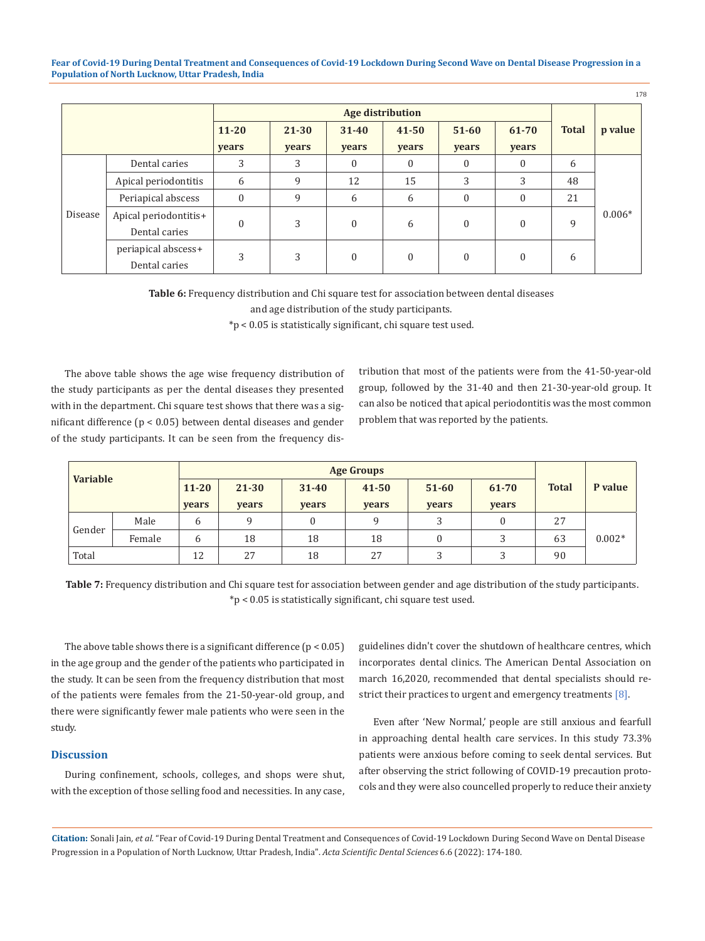**Fear of Covid-19 During Dental Treatment and Consequences of Covid-19 Lockdown During Second Wave on Dental Disease Progression in a Population of North Lucknow, Uttar Pradesh, India**

|         |                                        | <b>Age distribution</b> |                |                    |                    |                    |                |              |          |  |
|---------|----------------------------------------|-------------------------|----------------|--------------------|--------------------|--------------------|----------------|--------------|----------|--|
|         |                                        | $11 - 20$<br>years      | 21-30<br>years | $31 - 40$<br>years | $41 - 50$<br>years | $51 - 60$<br>years | 61-70<br>years | <b>Total</b> | p value  |  |
|         | Dental caries                          | 3                       | 3              | $\theta$           | $\mathbf{0}$       | 0                  | $\theta$       | 6            |          |  |
|         | Apical periodontitis                   | 6                       | 9              | 12                 | 15                 | 3                  | 3              | 48           |          |  |
|         | Periapical abscess                     | 0                       | 9              | 6                  | 6                  | $\mathbf{0}$       | 0              | 21           |          |  |
| Disease | Apical periodontitis+<br>Dental caries | $\mathbf{0}$            | 3              | $\theta$           | 6                  | $\theta$           | $\theta$       | 9            | $0.006*$ |  |
|         | periapical abscess+<br>Dental caries   | 3                       | 3              | $\theta$           | $\mathbf{0}$       | $\theta$           | $\theta$       | 6            |          |  |

**Table 6:** Frequency distribution and Chi square test for association between dental diseases and age distribution of the study participants.

\*p < 0.05 is statistically significant, chi square test used.

The above table shows the age wise frequency distribution of the study participants as per the dental diseases they presented with in the department. Chi square test shows that there was a significant difference (p < 0.05) between dental diseases and gender of the study participants. It can be seen from the frequency distribution that most of the patients were from the 41-50-year-old group, followed by the 31-40 and then 21-30-year-old group. It can also be noticed that apical periodontitis was the most common problem that was reported by the patients.

178

| <b>Variable</b> |        | <b>Age Groups</b> |       |           |           |               |       |              |          |
|-----------------|--------|-------------------|-------|-----------|-----------|---------------|-------|--------------|----------|
|                 |        | $11 - 20$         | 21-30 | $31 - 40$ | $41 - 50$ | $51 - 60$     | 61-70 | <b>Total</b> | P value  |
|                 |        | vears             | years | years     | years     | years         | years |              |          |
| Gender          | Male   | 6                 | a     | 0         | 9         | $\mathcal{D}$ |       | 27           |          |
|                 | Female | 6                 | 18    | 18        | 18        |               | ς     | 63           | $0.002*$ |
| Total           |        | 12                | 27    | 18        | 27        | 3             | っ     | 90           |          |

**Table 7:** Frequency distribution and Chi square test for association between gender and age distribution of the study participants. \*p < 0.05 is statistically significant, chi square test used.

The above table shows there is a significant difference  $(p < 0.05)$ in the age group and the gender of the patients who participated in the study. It can be seen from the frequency distribution that most of the patients were females from the 21-50-year-old group, and there were significantly fewer male patients who were seen in the study.

# **Discussion**

During confinement, schools, colleges, and shops were shut, with the exception of those selling food and necessities. In any case, guidelines didn't cover the shutdown of healthcare centres, which incorporates dental clinics. The American Dental Association on march 16,2020, recommended that dental specialists should restrict their practices to urgent and emergency treatments [8].

Even after 'New Normal,' people are still anxious and fearfull in approaching dental health care services. In this study 73.3% patients were anxious before coming to seek dental services. But after observing the strict following of COVID-19 precaution protocols and they were also councelled properly to reduce their anxiety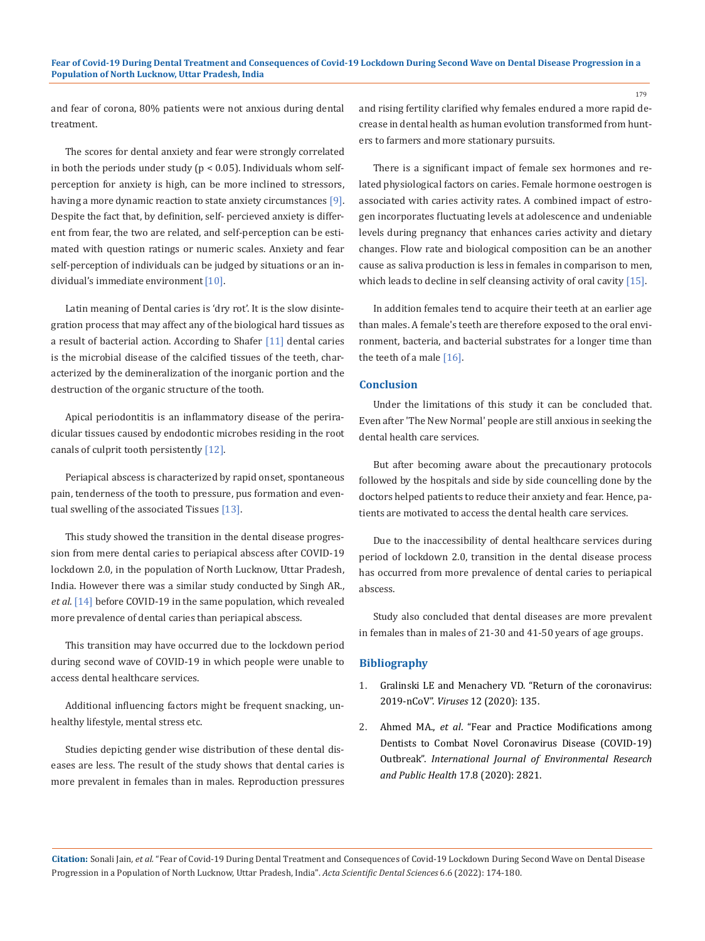and fear of corona, 80% patients were not anxious during dental treatment.

The scores for dental anxiety and fear were strongly correlated in both the periods under study ( $p < 0.05$ ). Individuals whom selfperception for anxiety is high, can be more inclined to stressors, having a more dynamic reaction to state anxiety circumstances [9]. Despite the fact that, by definition, self- percieved anxiety is different from fear, the two are related, and self-perception can be estimated with question ratings or numeric scales. Anxiety and fear self-perception of individuals can be judged by situations or an individual's immediate environment  $[10]$ .

Latin meaning of Dental caries is 'dry rot'. It is the slow disintegration process that may affect any of the biological hard tissues as a result of bacterial action. According to Shafer [11] dental caries is the microbial disease of the calcified tissues of the teeth, characterized by the demineralization of the inorganic portion and the destruction of the organic structure of the tooth.

Apical periodontitis is an inflammatory disease of the periradicular tissues caused by endodontic microbes residing in the root canals of culprit tooth persistently [12].

Periapical abscess is characterized by rapid onset, spontaneous pain, tenderness of the tooth to pressure, pus formation and eventual swelling of the associated Tissues [13].

This study showed the transition in the dental disease progression from mere dental caries to periapical abscess after COVID-19 lockdown 2.0, in the population of North Lucknow, Uttar Pradesh, India. However there was a similar study conducted by Singh AR., *et al*. [14] before COVID-19 in the same population, which revealed more prevalence of dental caries than periapical abscess.

This transition may have occurred due to the lockdown period during second wave of COVID-19 in which people were unable to access dental healthcare services.

Additional influencing factors might be frequent snacking, unhealthy lifestyle, mental stress etc.

Studies depicting gender wise distribution of these dental diseases are less. The result of the study shows that dental caries is more prevalent in females than in males. Reproduction pressures and rising fertility clarified why females endured a more rapid decrease in dental health as human evolution transformed from hunters to farmers and more stationary pursuits.

179

There is a significant impact of female sex hormones and related physiological factors on caries. Female hormone oestrogen is associated with caries activity rates. A combined impact of estrogen incorporates fluctuating levels at adolescence and undeniable levels during pregnancy that enhances caries activity and dietary changes. Flow rate and biological composition can be an another cause as saliva production is less in females in comparison to men, which leads to decline in self cleansing activity of oral cavity [15].

In addition females tend to acquire their teeth at an earlier age than males. A female's teeth are therefore exposed to the oral environment, bacteria, and bacterial substrates for a longer time than the teeth of a male [16].

## **Conclusion**

Under the limitations of this study it can be concluded that. Even after 'The New Normal' people are still anxious in seeking the dental health care services.

But after becoming aware about the precautionary protocols followed by the hospitals and side by side councelling done by the doctors helped patients to reduce their anxiety and fear. Hence, patients are motivated to access the dental health care services.

Due to the inaccessibility of dental healthcare services during period of lockdown 2.0, transition in the dental disease process has occurred from more prevalence of dental caries to periapical abscess.

Study also concluded that dental diseases are more prevalent in females than in males of 21-30 and 41-50 years of age groups.

### **Bibliography**

- 1. [Gralinski LE and Menachery VD. "Return of the coronavirus:](https://pubmed.ncbi.nlm.nih.gov/31991541/)  2019-nCoV". *Viruses* [12 \(2020\): 135.](https://pubmed.ncbi.nlm.nih.gov/31991541/)
- 2. Ahmed MA., *et al*[. "Fear and Practice Modifications among](https://pubmed.ncbi.nlm.nih.gov/32325888/)  [Dentists to Combat Novel Coronavirus Disease \(COVID-19\)](https://pubmed.ncbi.nlm.nih.gov/32325888/)  Outbreak". *[International Journal of Environmental Research](https://pubmed.ncbi.nlm.nih.gov/32325888/)  [and Public Health](https://pubmed.ncbi.nlm.nih.gov/32325888/)* 17.8 (2020): 2821.